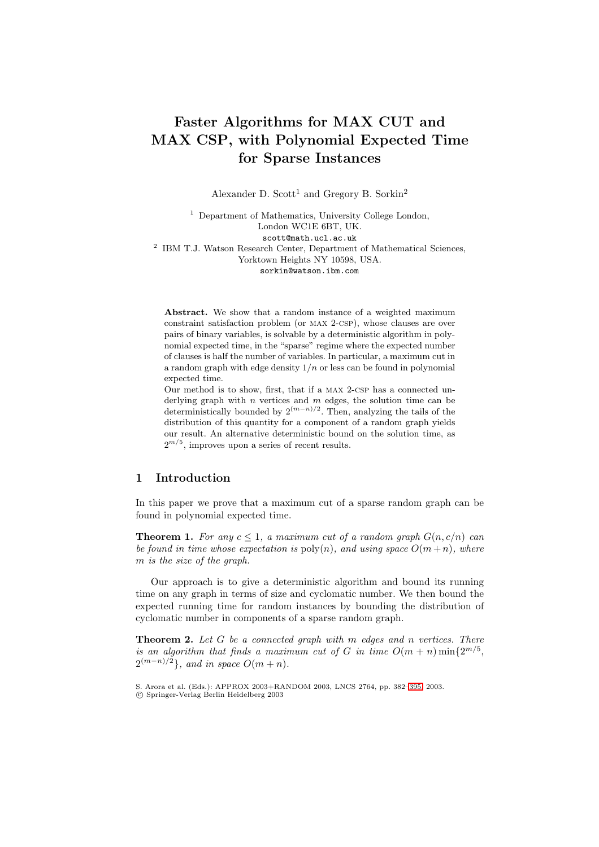# **Faster Algorithms for MAX CUT and MAX CSP, with Polynomial Expected Time for Sparse Instances**

Alexander D. Scott<sup>1</sup> and Gregory B. Sorkin<sup>2</sup>

<sup>1</sup> Department of Mathematics, University College London, London WC1E 6BT, UK. scott@math.ucl.ac.uk <sup>2</sup> IBM T.J. Watson Research Center, Department of Mathematical Sciences, Yorktown Heights NY 10598, USA. sorkin@watson.ibm.com

**Abstract.** We show that a random instance of a weighted maximum constraint satisfaction problem (or max 2-csp), whose clauses are over pairs of binary variables, is solvable by a deterministic algorithm in polynomial expected time, in the "sparse" regime where the expected number of clauses is half the number of variables. In particular, a maximum cut in a random graph with edge density 1*/n* or less can be found in polynomial expected time.

Our method is to show, first, that if a max 2-csp has a connected underlying graph with *n* vertices and *m* edges, the solution time can be deterministically bounded by  $2^{(m-n)/2}$ . Then, analyzing the tails of the distribution of this quantity for a component of a random graph yields our result. An alternative deterministic bound on the solution time, as  $2^{m/5},$  improves upon a series of recent results.

# **1 Introduction**

<span id="page-0-1"></span>In this paper we prove that a maximum cut of a sparse random graph can be found in polynomial expected time.

**Theorem 1.** For any  $c \leq 1$ , a maximum cut of a random graph  $G(n, c/n)$  can *be found in time whose expectation is*  $poly(n)$ *, and using space*  $O(m+n)$ *, where* m *is the size of the graph.*

Our approach is to give a deterministic algorithm and bound its running time on any graph in terms of size and cyclomatic number. We then bound the expected running time for random instances by bounding the distribution of cyclomatic number in components of a sparse random graph.

<span id="page-0-0"></span>**Theorem 2.** *Let* G *be a connected graph with* m *edges and* n *vertices. There is an algorithm that finds a maximum cut of* G *in time*  $O(m + n) \min\{2^{m/5},\}$  $2^{(m-n)/2}$ *}, and in space*  $O(m+n)$ *.* 

S. Arora et al. (Eds.): APPROX 2003+RANDOM 2003, LNCS 2764, pp. 382[–395,](#page-12-0) 2003. c Springer-Verlag Berlin Heidelberg 2003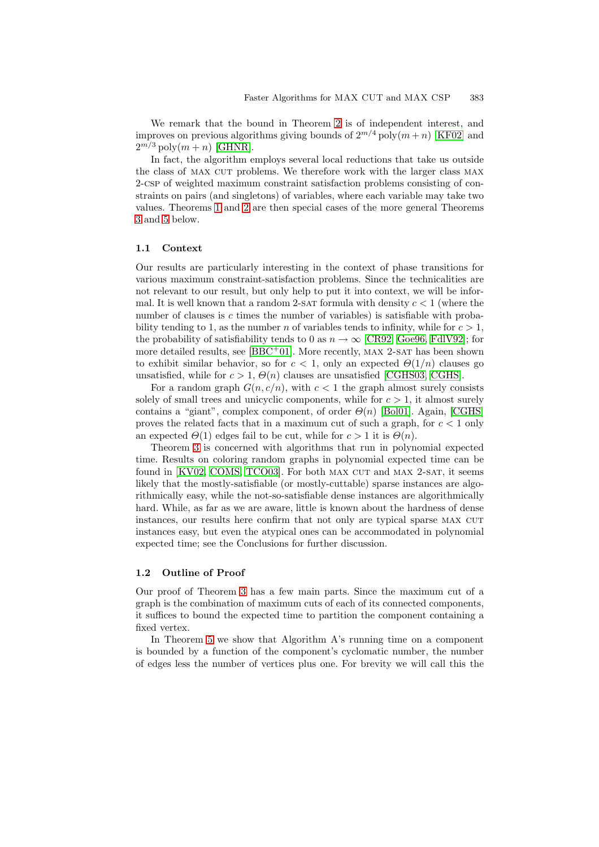We remark that the bound in Theorem [2](#page-0-0) is of independent interest, and improves on previous algorithms giving bounds of  $2^{m/4}$  poly $(m+n)$  [\[KF02\]](#page-13-0) and  $2^{m/3}$  poly $(m+n)$  [\[GHNR\]](#page-13-1).

In fact, the algorithm employs several local reductions that take us outside the class of MAX CUT problems. We therefore work with the larger class MAX 2-csp of weighted maximum constraint satisfaction problems consisting of constraints on pairs (and singletons) of variables, where each variable may take two values. Theorems [1](#page-0-1) and [2](#page-0-0) are then special cases of the more general Theorems [3](#page-3-0) and [5](#page-6-0) below.

## **1.1 Context**

Our results are particularly interesting in the context of phase transitions for various maximum constraint-satisfaction problems. Since the technicalities are not relevant to our result, but only help to put it into context, we will be informal. It is well known that a random 2-SAT formula with density  $c < 1$  (where the number of clauses is c times the number of variables) is satisfiable with probability tending to 1, as the number n of variables tends to infinity, while for  $c > 1$ , the probability of satisfiability tends to 0 as  $n \to \infty$  [\[CR92,](#page-13-2) [Goe96,](#page-13-3) FdIV92]; for more detailed results, see  $[BBC + 01]$  $[BBC + 01]$ . More recently, MAX 2-SAT has been shown to exhibit similar behavior, so for  $c < 1$ , only an expected  $\Theta(1/n)$  clauses go unsatisfied, while for  $c > 1$ ,  $\Theta(n)$  clauses are unsatisfied [\[CGHS03,](#page-13-5) [CGHS\]](#page-12-2).

For a random graph  $G(n, c/n)$ , with  $c < 1$  the graph almost surely consists solely of small trees and unicyclic components, while for  $c > 1$ , it almost surely contains a "giant", complex component, of order  $\Theta(n)$  [\[Bol01\]](#page-12-3). Again, [\[CGHS\]](#page-12-2) proves the related facts that in a maximum cut of such a graph, for  $c < 1$  only an expected  $\Theta(1)$  edges fail to be cut, while for  $c > 1$  it is  $\Theta(n)$ .

Theorem [3](#page-3-0) is concerned with algorithms that run in polynomial expected time. Results on coloring random graphs in polynomial expected time can be found in  $[KV02, COMS, TCO03]$  $[KV02, COMS, TCO03]$  $[KV02, COMS, TCO03]$ . For both MAX CUT and MAX 2-SAT, it seems likely that the mostly-satisfiable (or mostly-cuttable) sparse instances are algorithmically easy, while the not-so-satisfiable dense instances are algorithmically hard. While, as far as we are aware, little is known about the hardness of dense instances, our results here confirm that not only are typical sparse MAX CUT instances easy, but even the atypical ones can be accommodated in polynomial expected time; see the Conclusions for further discussion.

## **1.2 Outline of Proof**

Our proof of Theorem [3](#page-3-0) has a few main parts. Since the maximum cut of a graph is the combination of maximum cuts of each of its connected components, it suffices to bound the expected time to partition the component containing a fixed vertex.

In Theorem [5](#page-6-0) we show that Algorithm A's running time on a component is bounded by a function of the component's cyclomatic number, the number of edges less the number of vertices plus one. For brevity we will call this the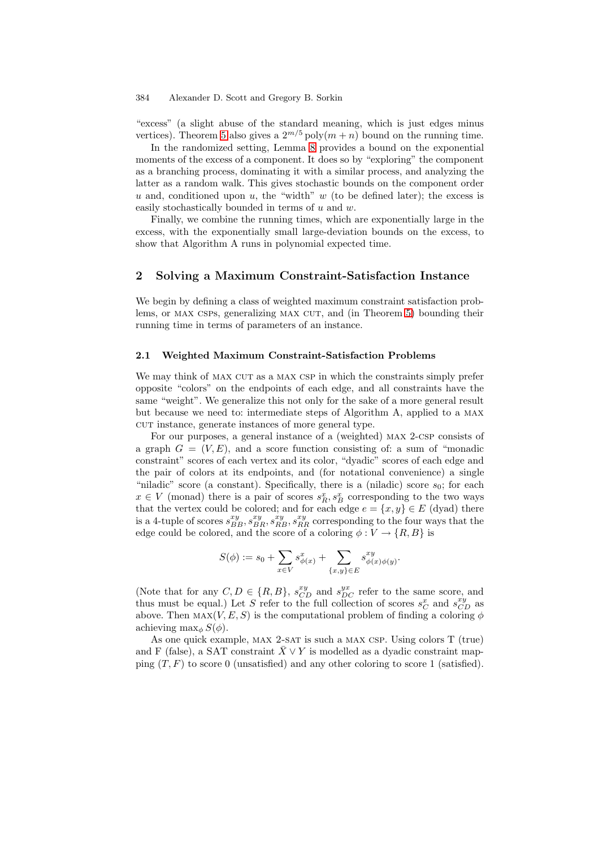"excess" (a slight abuse of the standard meaning, which is just edges minus vertices). Theorem [5](#page-6-0) also gives a  $2^{m/5}$  poly $(m+n)$  bound on the running time.

In the randomized setting, Lemma [8](#page-9-0) provides a bound on the exponential moments of the excess of a component. It does so by "exploring" the component as a branching process, dominating it with a similar process, and analyzing the latter as a random walk. This gives stochastic bounds on the component order  $u$  and, conditioned upon  $u$ , the "width"  $w$  (to be defined later); the excess is easily stochastically bounded in terms of u and w.

Finally, we combine the running times, which are exponentially large in the excess, with the exponentially small large-deviation bounds on the excess, to show that Algorithm A runs in polynomial expected time.

## **2 Solving a Maximum Constraint-Satisfaction Instance**

We begin by defining a class of weighted maximum constraint satisfaction prob-lems, or MAX CSPs, generalizing MAX CUT, and (in Theorem [5\)](#page-6-0) bounding their running time in terms of parameters of an instance.

## **2.1 Weighted Maximum Constraint-Satisfaction Problems**

We may think of MAX CUT as a MAX CSP in which the constraints simply prefer opposite "colors" on the endpoints of each edge, and all constraints have the same "weight". We generalize this not only for the sake of a more general result but because we need to: intermediate steps of Algorithm A, applied to a max cut instance, generate instances of more general type.

For our purposes, a general instance of a (weighted) max 2-csp consists of a graph  $G = (V, E)$ , and a score function consisting of: a sum of "monadic constraint" scores of each vertex and its color, "dyadic" scores of each edge and the pair of colors at its endpoints, and (for notational convenience) a single "niladic" score (a constant). Specifically, there is a (niladic) score  $s_0$ ; for each  $x \in V$  (monad) there is a pair of scores  $s_R^x, s_B^x$  corresponding to the two ways that the vertex could be colored; and for each edge  $e = \{x, y\} \in E$  (dyad) there is a 4-tuple of scores  $s_{BB}^{xy}, s_{BB}^{xy}, s_{RR}^{xy}$  corresponding to the four ways that the edge could be colored, and the score of a coloring  $\phi: V \to \{R, B\}$  is

$$
S(\phi) := s_0 + \sum_{x \in V} s^x_{\phi(x)} + \sum_{\{x,y\} \in E} s^{xy}_{\phi(x)\phi(y)}.
$$

(Note that for any  $C, D \in \{R, B\}$ ,  $s_{CD}^{xy}$  and  $s_{DC}^{yx}$  refer to the same score, and thus must be equal.) Let S refer to the full collection of scores  $s_C^x$  and  $s_{CD}^{xy}$  as above. Then  $\text{MAX}(V, E, S)$  is the computational problem of finding a coloring  $\phi$ achieving max<sub>φ</sub> $S(\phi)$ .

As one quick example, MAX 2-SAT is such a MAX CSP. Using colors T (true) and F (false), a SAT constraint  $\overline{X} \vee Y$  is modelled as a dyadic constraint mapping  $(T, F)$  to score 0 (unsatisfied) and any other coloring to score 1 (satisfied).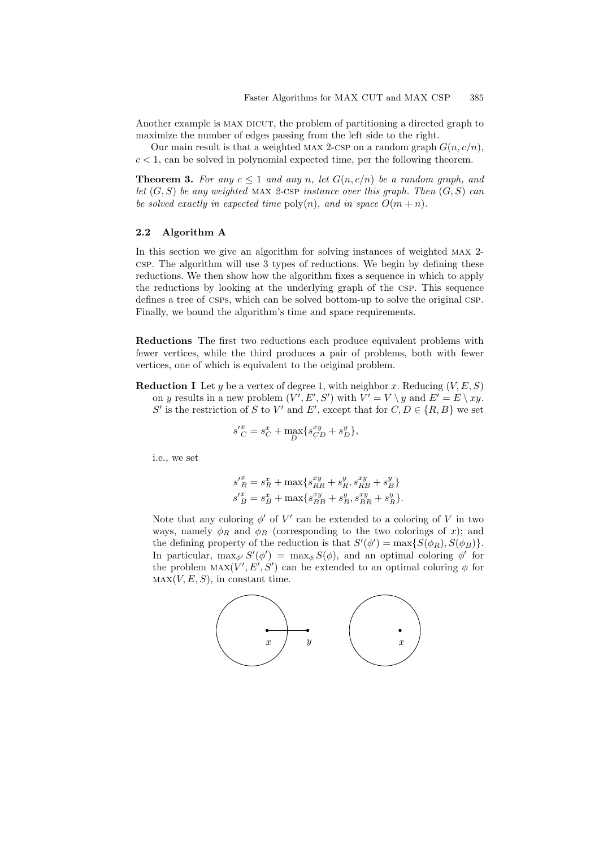Another example is MAX DICUT, the problem of partitioning a directed graph to maximize the number of edges passing from the left side to the right.

<span id="page-3-0"></span>Our main result is that a weighted MAX 2-CSP on a random graph  $G(n, c/n)$ ,  $c < 1$ , can be solved in polynomial expected time, per the following theorem.

**Theorem 3.** For any  $c \leq 1$  and any n, let  $G(n, c/n)$  be a random graph, and *let* (G, S) *be any weighted* max *2-*csp *instance over this graph. Then* (G, S) *can be solved exactly in expected time*  $\text{poly}(n)$ *, and in space*  $O(m + n)$ *.* 

## **2.2 Algorithm A**

In this section we give an algorithm for solving instances of weighted max 2 csp. The algorithm will use 3 types of reductions. We begin by defining these reductions. We then show how the algorithm fixes a sequence in which to apply the reductions by looking at the underlying graph of the csp. This sequence defines a tree of csps, which can be solved bottom-up to solve the original csp. Finally, we bound the algorithm's time and space requirements.

**Reductions** The first two reductions each produce equivalent problems with fewer vertices, while the third produces a pair of problems, both with fewer vertices, one of which is equivalent to the original problem.

**Reduction I** Let y be a vertex of degree 1, with neighbor x. Reducing  $(V, E, S)$ on y results in a new problem  $(V', E', S')$  with  $V' = V \setminus y$  and  $E' = E \setminus xy$ . S' is the restriction of S to V' and E', except that for  $C, D \in \{R, B\}$  we set

$$
s_C^{\prime x} = s_C^x + \max_D \{ s_{CD}^{xy} + s_D^y \},\,
$$

i.e., we set

$$
s'^{x}_{R} = s^{x}_{R} + \max\{s^{xy}_{RR} + s^{y}_{R}, s^{xy}_{RB} + s^{y}_{B}\}
$$
  

$$
s'^{x}_{B} = s^{x}_{B} + \max\{s^{xy}_{BB} + s^{y}_{B}, s^{xy}_{BR} + s^{y}_{R}\}.
$$

Note that any coloring  $\phi'$  of  $V'$  can be extended to a coloring of V in two ways, namely  $\phi_R$  and  $\phi_B$  (corresponding to the two colorings of x); and the defining property of the reduction is that  $S'(\phi') = \max\{S(\phi_R), S(\phi_B)\}.$ In particular,  $\max_{\phi'} S'(\phi') = \max_{\phi} S(\phi)$ , and an optimal coloring  $\phi'$  for the problem  $\text{MAX}(V', E', S')$  can be extended to an optimal coloring  $\phi$  for  $MAX(V, E, S)$ , in constant time.

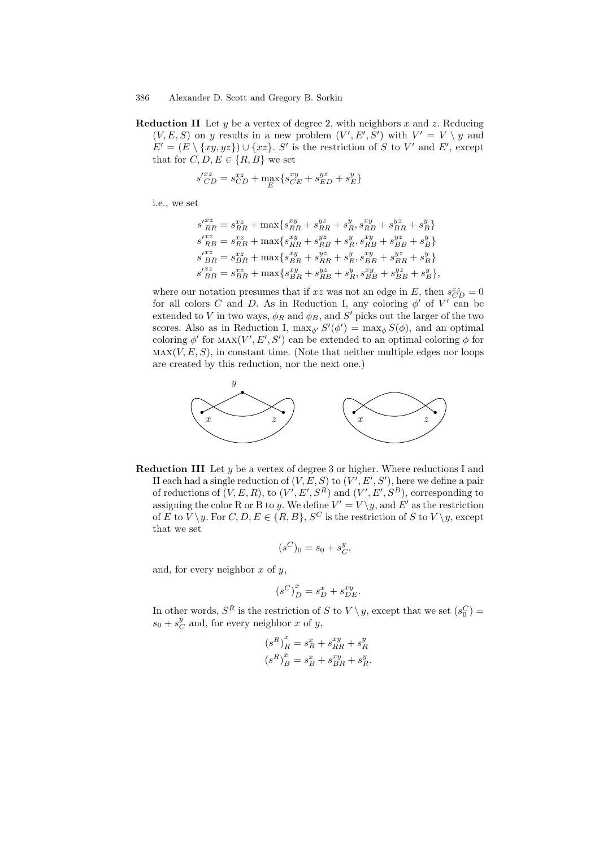**Reduction II** Let y be a vertex of degree 2, with neighbors x and z. Reducing  $(V, E, S)$  on y results in a new problem  $(V', E', S')$  with  $V' = V \setminus y$  and  $E' = (E \setminus \{xy, yz\}) \cup \{xz\}.$  S' is the restriction of S to V' and E', except that for  $C, D, E \in \{R, B\}$  we set

$$
s'_{CD}^{xz} = s_{CD}^{xz} + \max_{E} \{ s_{CE}^{xy} + s_{ED}^{yz} + s_E^y \}
$$

i.e., we set

$$
s'^{xz}_{RR} = s^{xz}_{RR} + \max\{s^{xy}_{RR} + s^{yz}_{RR} + s^{y}_{R}, s^{xy}_{RB} + s^{yz}_{BR} + s^{y}_{B}\}
$$
  
\n
$$
s'^{xz}_{RB} = s^{xz}_{RB} + \max\{s^{xy}_{RR} + s^{yz}_{RB} + s^{y}_{R}, s^{xy}_{RB} + s^{yz}_{BB} + s^{y}_{B}\}
$$
  
\n
$$
s'^{xz}_{BR} = s^{xz}_{BR} + \max\{s^{xy}_{BR} + s^{yz}_{RR} + s^{y}_{R}, s^{xy}_{BB} + s^{yz}_{BR} + s^{y}_{B}\}
$$
  
\n
$$
s'^{xz}_{BB} = s^{xz}_{BB} + \max\{s^{xy}_{BR} + s^{yz}_{RB} + s^{y}_{R}, s^{xy}_{BB} + s^{yz}_{BB} + s^{y}_{B}\},
$$

where our notation presumes that if xz was not an edge in E, then  $s_{CD}^{xz} = 0$ for all colors C and D. As in Reduction I, any coloring  $\phi'$  of V' can be extended to V in two ways,  $\phi_R$  and  $\phi_B$ , and S' picks out the larger of the two scores. Also as in Reduction I,  $\max_{\phi'} S'(\phi') = \max_{\phi} S(\phi)$ , and an optimal coloring  $\phi'$  for MAX $(V', E', S')$  can be extended to an optimal coloring  $\phi$  for  $\text{MAX}(V, E, S)$ , in constant time. (Note that neither multiple edges nor loops are created by this reduction, nor the next one.)



**Reduction III** Let y be a vertex of degree 3 or higher. Where reductions I and II each had a single reduction of  $(V, E, S)$  to  $(V', E', S')$ , here we define a pair of reductions of  $(V, E, R)$ , to  $(V', E', S^R)$  and  $(V', E', S^B)$ , corresponding to assigning the color R or B to y. We define  $V' = V \setminus y$ , and E' as the restriction of E to  $V \setminus y$ . For  $C, D, E \in \{R, B\}, S^C$  is the restriction of S to  $V \setminus y$ , except that we set

$$
(s^C)_0 = s_0 + s^y_C,
$$

and, for every neighbor  $x$  of  $y$ ,

$$
\left(s^C\right)^x_D = s^x_D + s^{xy}_{DE}.
$$

In other words,  $S^R$  is the restriction of S to  $V \setminus y$ , except that we set  $(s_0^C)$  =  $s_0 + s_C^y$  and, for every neighbor x of y,

$$
\begin{aligned} \left(s^R\right)^x_R&=s^x_R+s^{xy}_{RR}+s^y_R\\ \left(s^R\right)^x_B&=s^x_B+s^{xy}_{BR}+s^y_R. \end{aligned}
$$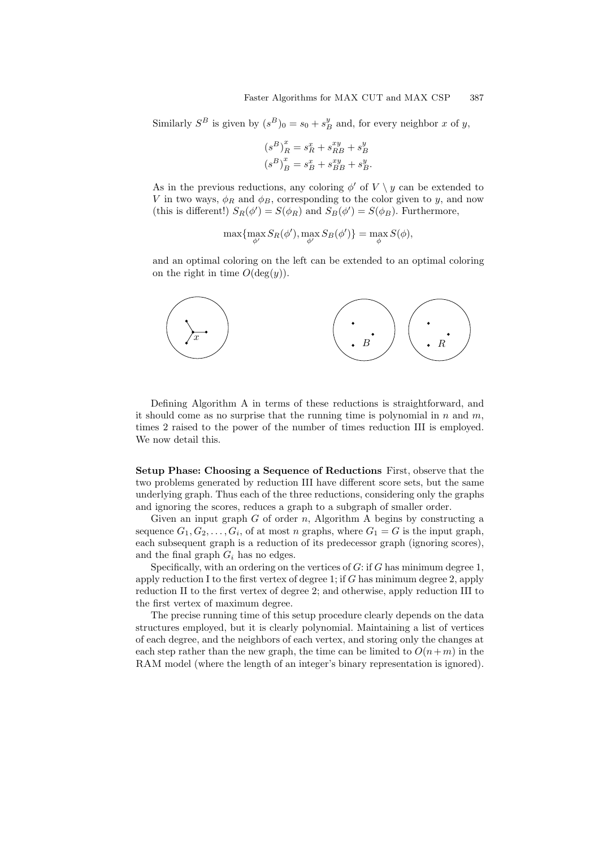Similarly  $S^B$  is given by  $(s^B)_0 = s_0 + s_B^y$  and, for every neighbor x of y,

$$
\begin{aligned} \left(s^B\right)^x_R &= s^x_R + s^{xy}_{RB} + s^y_B\\ \left(s^B\right)^x_B &= s^x_B + s^{xy}_{BB} + s^y_B. \end{aligned}
$$

As in the previous reductions, any coloring  $\phi'$  of  $V \setminus y$  can be extended to V in two ways,  $\phi_R$  and  $\phi_B$ , corresponding to the color given to y, and now (this is different!)  $S_R(\phi') = S(\phi_R)$  and  $S_B(\phi') = S(\phi_B)$ . Furthermore,

$$
\max \{ \max_{\phi'} S_R(\phi'), \max_{\phi'} S_B(\phi') \} = \max_{\phi} S(\phi),
$$

and an optimal coloring on the left can be extended to an optimal coloring on the right in time  $O(\deg(y))$ .



Defining Algorithm A in terms of these reductions is straightforward, and it should come as no surprise that the running time is polynomial in  $n$  and  $m$ , times 2 raised to the power of the number of times reduction III is employed. We now detail this.

**Setup Phase: Choosing a Sequence of Reductions** First, observe that the two problems generated by reduction III have different score sets, but the same underlying graph. Thus each of the three reductions, considering only the graphs and ignoring the scores, reduces a graph to a subgraph of smaller order.

Given an input graph  $G$  of order  $n$ , Algorithm A begins by constructing a sequence  $G_1, G_2, \ldots, G_i$ , of at most n graphs, where  $G_1 = G$  is the input graph, each subsequent graph is a reduction of its predecessor graph (ignoring scores), and the final graph  $G_i$  has no edges.

Specifically, with an ordering on the vertices of  $G$ : if  $G$  has minimum degree 1, apply reduction I to the first vertex of degree 1; if  $G$  has minimum degree 2, apply reduction II to the first vertex of degree 2; and otherwise, apply reduction III to the first vertex of maximum degree.

The precise running time of this setup procedure clearly depends on the data structures employed, but it is clearly polynomial. Maintaining a list of vertices of each degree, and the neighbors of each vertex, and storing only the changes at each step rather than the new graph, the time can be limited to  $O(n+m)$  in the RAM model (where the length of an integer's binary representation is ignored).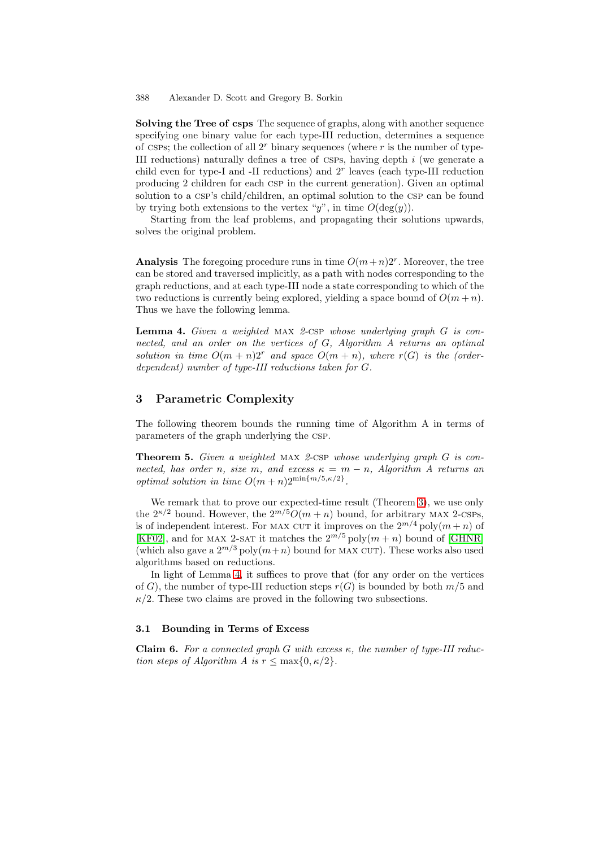**Solving the Tree of csps** The sequence of graphs, along with another sequence specifying one binary value for each type-III reduction, determines a sequence of csps; the collection of all  $2<sup>r</sup>$  binary sequences (where r is the number of type-III reductions) naturally defines a tree of CSPs, having depth  $i$  (we generate a child even for type-I and -II reductions) and  $2<sup>r</sup>$  leaves (each type-III reduction producing 2 children for each csp in the current generation). Given an optimal solution to a CSP's child/children, an optimal solution to the CSP can be found by trying both extensions to the vertex "y", in time  $O(\deg(y))$ .

Starting from the leaf problems, and propagating their solutions upwards, solves the original problem.

**Analysis** The foregoing procedure runs in time  $O(m+n)2^r$ . Moreover, the tree can be stored and traversed implicitly, as a path with nodes corresponding to the graph reductions, and at each type-III node a state corresponding to which of the two reductions is currently being explored, yielding a space bound of  $O(m + n)$ . Thus we have the following lemma.

<span id="page-6-1"></span>**Lemma 4.** *Given a weighted* max *2-*csp *whose underlying graph* G *is connected, and an order on the vertices of* G*, Algorithm A returns an optimal solution in time*  $O(m+n)2^r$  *and space*  $O(m+n)$ *, where*  $r(G)$  *is the (orderdependent) number of type-III reductions taken for* G*.*

## **3 Parametric Complexity**

<span id="page-6-0"></span>The following theorem bounds the running time of Algorithm A in terms of parameters of the graph underlying the csp.

**Theorem 5.** *Given a weighted* max *2-*csp *whose underlying graph* G *is connected, has order n, size m, and excess*  $\kappa = m - n$ *, Algorithm A returns an optimal solution in time*  $O(m+n)2^{\min\{m/5,\kappa/2\}}$ .

We remark that to prove our expected-time result (Theorem [3\)](#page-3-0), we use only the  $2^{\kappa/2}$  bound. However, the  $2^{m/5}O(m+n)$  bound, for arbitrary MAX 2-CSPs, is of independent interest. For MAX CUT it improves on the  $2^{m/4}$  poly $(m+n)$  of [\[KF02\]](#page-13-0), and for MAX 2-SAT it matches the  $2^{m/5}$  poly $(m + n)$  bound of [\[GHNR\]](#page-13-1) (which also gave a  $2^{m/3}$  poly $(m+n)$  bound for MAX CUT). These works also used algorithms based on reductions.

In light of Lemma [4,](#page-6-1) it suffices to prove that (for any order on the vertices of G), the number of type-III reduction steps  $r(G)$  is bounded by both  $m/5$  and  $\kappa/2$ . These two claims are proved in the following two subsections.

#### **3.1 Bounding in Terms of Excess**

**Claim 6.** *For a connected graph* G *with excess* κ*, the number of type-III reduction steps of Algorithm A is*  $r \leq \max\{0, \kappa/2\}.$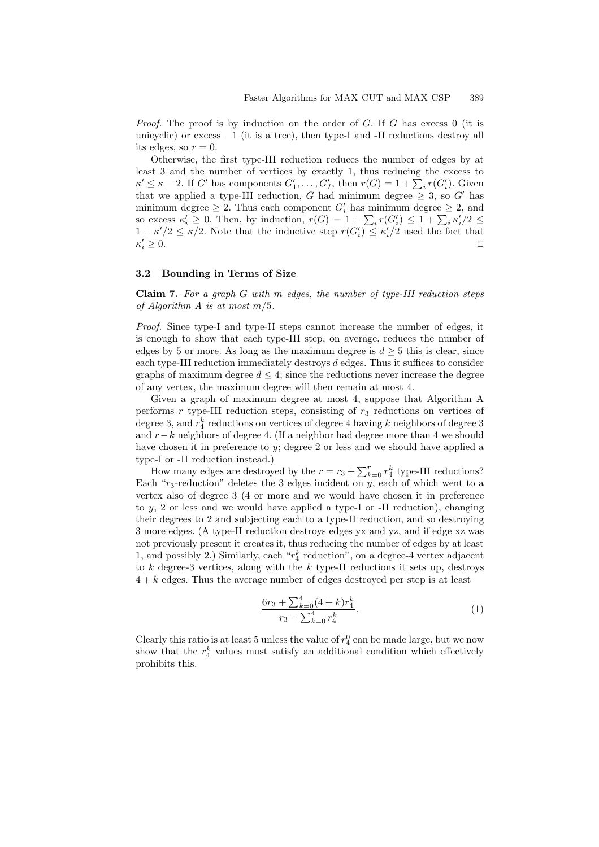*Proof.* The proof is by induction on the order of G. If G has excess 0 (it is unicyclic) or excess  $-1$  (it is a tree), then type-I and -II reductions destroy all its edges, so  $r = 0$ .

Otherwise, the first type-III reduction reduces the number of edges by at least 3 and the number of vertices by exactly 1, thus reducing the excess to  $\kappa' \leq \kappa - 2$ . If G' has components  $G'_1, \ldots, G'_I$ , then  $r(G) = 1 + \sum_i r(G'_i)$ . Given that we applied a type-III reduction, G had minimum degree  $\geq$  3, so G' has minimum degree  $\geq 2$ . Thus each component  $G'_{i}$  has minimum degree  $\geq 2$ , and so excess  $\kappa'_i \geq 0$ . Then, by induction,  $r(G) = 1 + \sum_i r(G'_i) \leq 1 + \sum_i \kappa'_i/2 \leq$  $1 + \kappa'/2 \leq \kappa/2$ . Note that the inductive step  $r(G_i') \leq \kappa'_i/2$  used the fact that  $\kappa_i' \geq 0$ .  $i' \geq 0.$ 

## **3.2 Bounding in Terms of Size**

**Claim 7.** *For a graph* G *with* m *edges, the number of type-III reduction steps of Algorithm A is at most* m/5*.*

*Proof.* Since type-I and type-II steps cannot increase the number of edges, it is enough to show that each type-III step, on average, reduces the number of edges by 5 or more. As long as the maximum degree is  $d \geq 5$  this is clear, since each type-III reduction immediately destroys  $d$  edges. Thus it suffices to consider graphs of maximum degree  $d \leq 4$ ; since the reductions never increase the degree of any vertex, the maximum degree will then remain at most 4.

Given a graph of maximum degree at most 4, suppose that Algorithm A performs  $r$  type-III reduction steps, consisting of  $r_3$  reductions on vertices of degree 3, and  $r_4^k$  reductions on vertices of degree 4 having  $k$  neighbors of degree 3 and r−k neighbors of degree 4. (If a neighbor had degree more than 4 we should have chosen it in preference to y; degree 2 or less and we should have applied a type-I or -II reduction instead.)

How many edges are destroyed by the  $r = r_3 + \sum_{k=0}^{r} r_4^k$  type-III reductions? Each " $r_3$ -reduction" deletes the 3 edges incident on  $y$ , each of which went to a vertex also of degree 3 (4 or more and we would have chosen it in preference to y, 2 or less and we would have applied a type-I or -II reduction), changing their degrees to 2 and subjecting each to a type-II reduction, and so destroying 3 more edges. (A type-II reduction destroys edges yx and yz, and if edge xz was not previously present it creates it, thus reducing the number of edges by at least 1, and possibly 2.) Similarly, each  $\lq\lq r_4^k$  reduction", on a degree-4 vertex adjacent to  $k$  degree-3 vertices, along with the  $k$  type-II reductions it sets up, destroys  $4 + k$  edges. Thus the average number of edges destroyed per step is at least

<span id="page-7-0"></span>
$$
\frac{6r_3 + \sum_{k=0}^4 (4+k)r_4^k}{r_3 + \sum_{k=0}^4 r_4^k}.
$$
\n(1)

Clearly this ratio is at least 5 unless the value of  $r_4^0$  can be made large, but we now show that the  $r_4^k$  values must satisfy an additional condition which effectively prohibits this.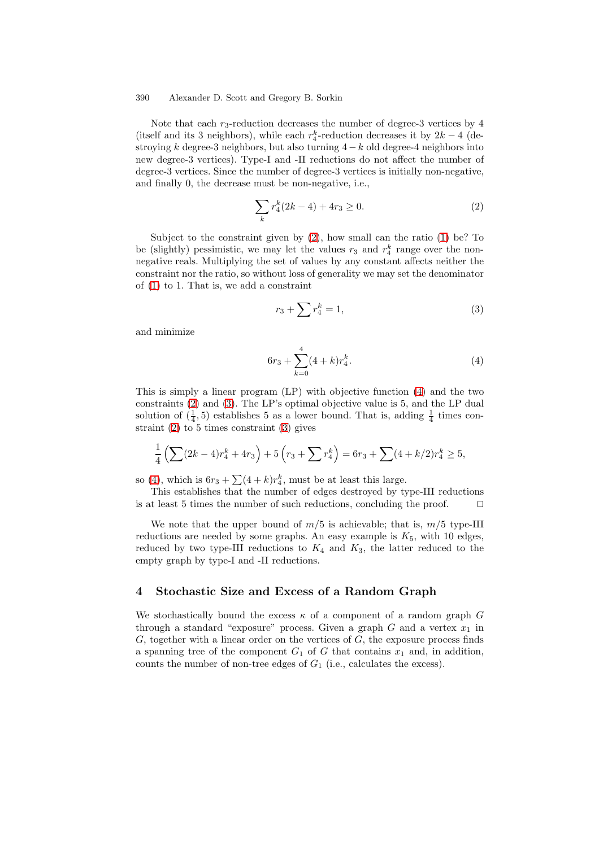Note that each  $r_3$ -reduction decreases the number of degree-3 vertices by 4 (itself and its 3 neighbors), while each  $r_4^k$ -reduction decreases it by  $2k-4$  (destroying k degree-3 neighbors, but also turning  $4-k$  old degree-4 neighbors into new degree-3 vertices). Type-I and -II reductions do not affect the number of degree-3 vertices. Since the number of degree-3 vertices is initially non-negative, and finally 0, the decrease must be non-negative, i.e.,

<span id="page-8-0"></span>
$$
\sum_{k} r_4^k (2k - 4) + 4r_3 \ge 0.
$$
 (2)

Subject to the constraint given by [\(2\)](#page-8-0), how small can the ratio [\(1\)](#page-7-0) be? To be (slightly) pessimistic, we may let the values  $r_3$  and  $r_4^k$  range over the nonnegative reals. Multiplying the set of values by any constant affects neither the constraint nor the ratio, so without loss of generality we may set the denominator of [\(1\)](#page-7-0) to 1. That is, we add a constraint

<span id="page-8-2"></span>
$$
r_3 + \sum r_4^k = 1,\t\t(3)
$$

and minimize

<span id="page-8-1"></span>
$$
6r_3 + \sum_{k=0}^{4} (4+k)r_4^k.
$$
 (4)

This is simply a linear program (LP) with objective function [\(4\)](#page-8-1) and the two constraints [\(2\)](#page-8-0) and [\(3\)](#page-8-2). The LP's optimal objective value is 5, and the LP dual solution of  $(\frac{1}{4}, 5)$  establishes 5 as a lower bound. That is, adding  $\frac{1}{4}$  times constraint  $(2)$  to 5 times constraint  $(3)$  gives

$$
\frac{1}{4}\left(\sum (2k-4)r_4^k + 4r_3\right) + 5\left(r_3 + \sum r_4^k\right) = 6r_3 + \sum (4+k/2)r_4^k \ge 5,
$$

so [\(4\)](#page-8-1), which is  $6r_3 + \sum (4+k)r_4^k$ , must be at least this large.

This establishes that the number of edges destroyed by type-III reductions is at least 5 times the number of such reductions, concluding the proof.  $\Box$ 

We note that the upper bound of  $m/5$  is achievable; that is,  $m/5$  type-III reductions are needed by some graphs. An easy example is  $K_5$ , with 10 edges, reduced by two type-III reductions to  $K_4$  and  $K_3$ , the latter reduced to the empty graph by type-I and -II reductions.

## **4 Stochastic Size and Excess of a Random Graph**

We stochastically bound the excess  $\kappa$  of a component of a random graph G through a standard "exposure" process. Given a graph  $G$  and a vertex  $x_1$  in  $G$ , together with a linear order on the vertices of  $G$ , the exposure process finds a spanning tree of the component  $G_1$  of G that contains  $x_1$  and, in addition, counts the number of non-tree edges of  $G_1$  (i.e., calculates the excess).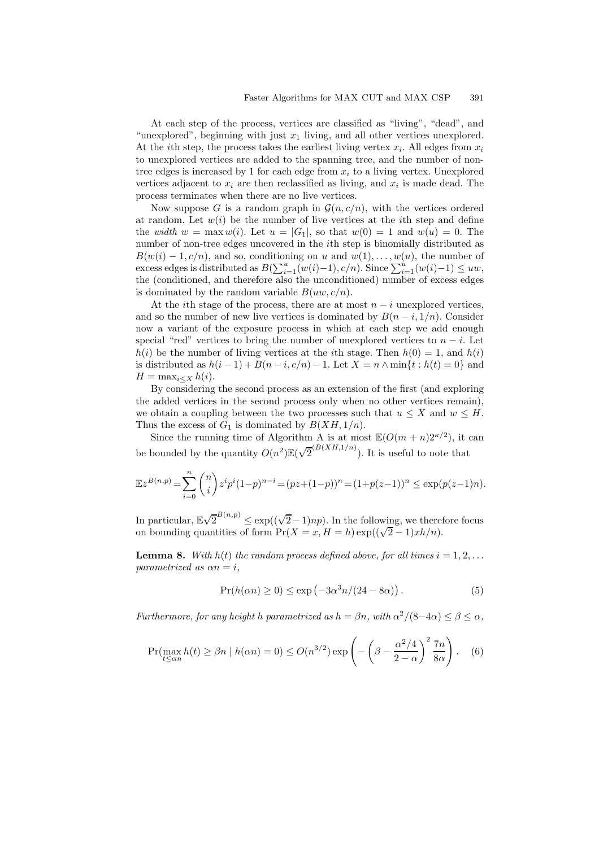At each step of the process, vertices are classified as "living", "dead", and "unexplored", beginning with just  $x_1$  living, and all other vertices unexplored. At the *i*th step, the process takes the earliest living vertex  $x_i$ . All edges from  $x_i$ to unexplored vertices are added to the spanning tree, and the number of nontree edges is increased by 1 for each edge from  $x_i$  to a living vertex. Unexplored vertices adjacent to  $x_i$  are then reclassified as living, and  $x_i$  is made dead. The process terminates when there are no live vertices.

Now suppose G is a random graph in  $\mathcal{G}(n, c/n)$ , with the vertices ordered at random. Let  $w(i)$  be the number of live vertices at the *i*th step and define the *width*  $w = \max w(i)$ . Let  $u = |G_1|$ , so that  $w(0) = 1$  and  $w(u) = 0$ . The number of non-tree edges uncovered in the ith step is binomially distributed as  $B(w(i) - 1, c/n)$ , and so, conditioning on u and  $w(1), \ldots, w(u)$ , the number of excess edges is distributed as  $B(\sum_{i=1}^u (w(i)-1), c/n)$ . Since  $\sum_{i=1}^u (w(i)-1) \le uw$ , the (conditioned, and therefore also the unconditioned) number of excess edges is dominated by the random variable  $B(uw, c/n)$ .

At the *i*th stage of the process, there are at most  $n - i$  unexplored vertices, and so the number of new live vertices is dominated by  $B(n-i,1/n)$ . Consider now a variant of the exposure process in which at each step we add enough special "red" vertices to bring the number of unexplored vertices to  $n - i$ . Let  $h(i)$  be the number of living vertices at the *i*th stage. Then  $h(0) = 1$ , and  $h(i)$ is distributed as  $h(i-1) + B(n-i, c/n) - 1$ . Let  $X = n \wedge \min\{t : h(t) = 0\}$  and  $H = \max_{i \leq X} h(i).$ 

By considering the second process as an extension of the first (and exploring the added vertices in the second process only when no other vertices remain), we obtain a coupling between the two processes such that  $u \leq X$  and  $w \leq H$ . Thus the excess of  $G_1$  is dominated by  $B(XH, 1/n)$ .

Since the running time of Algorithm A is at most  $\mathbb{E}(O(m+n)2^{\kappa/2})$ , it can be bounded by the quantity  $O(n^2) \mathbb{E}(\sqrt{2}^{(B(XH,1/n)})$ . It is useful to note that

$$
\mathbb{E}z^{B(n,p)} = \sum_{i=0}^{n} \binom{n}{i} z^i p^i (1-p)^{n-i} = (pz + (1-p))^n = (1+p(z-1))^n \le \exp(p(z-1)n).
$$

In particular,  $\mathbb{E}\sqrt{2}^{B(n,p)} \leq \exp((\sqrt{2}-1)np)$ . In the following, we therefore focus on bounding quantities of form  $Pr(X = x, H = h)$  exp( $(\sqrt{2} - 1) x h/n$ ).

<span id="page-9-0"></span>**Lemma 8.** *With*  $h(t)$  *the random process defined above, for all times*  $i = 1, 2, \ldots$ *parametrized as*  $\alpha n = i$ ,

<span id="page-9-2"></span><span id="page-9-1"></span>
$$
\Pr(h(\alpha n) \ge 0) \le \exp\left(-3\alpha^3 n/(24 - 8\alpha)\right). \tag{5}
$$

*Furthermore, for any height* h *parametrized as*  $h = \beta n$ *, with*  $\alpha^2/(8-4\alpha) \leq \beta \leq \alpha$ *,* 

$$
\Pr(\max_{t \le \alpha n} h(t) \ge \beta n \mid h(\alpha n) = 0) \le O(n^{3/2}) \exp\left(-\left(\beta - \frac{\alpha^2/4}{2 - \alpha}\right)^2 \frac{7n}{8\alpha}\right). \quad (6)
$$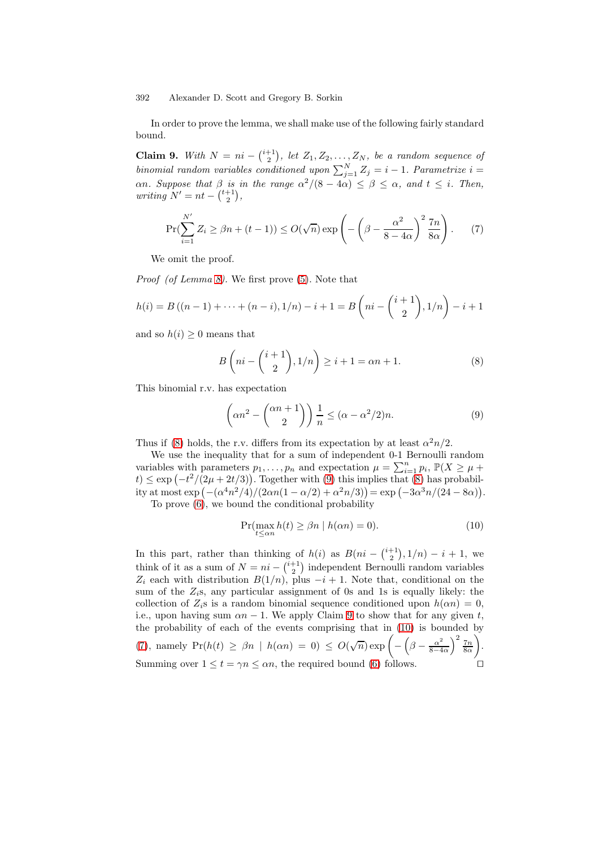<span id="page-10-2"></span>In order to prove the lemma, we shall make use of the following fairly standard bound.

**Claim 9.** With  $N = ni - \binom{i+1}{2}$ , let  $Z_1, Z_2, \ldots, Z_N$ , be a random sequence of *binomial random variables conditioned upon*  $\sum_{j=1}^{N} Z_j = i - 1$ . Parametrize  $i =$  $\alpha$ *n. Suppose that*  $\beta$  *is in the range*  $\alpha^2/(8-4\alpha) \leq \beta \leq \alpha$ , and  $t \leq i$ . Then,  $writing N' = nt - \binom{t+1}{2},$ 

$$
\Pr(\sum_{i=1}^{N'} Z_i \ge \beta n + (t-1)) \le O(\sqrt{n}) \exp\left(-\left(\beta - \frac{\alpha^2}{8 - 4\alpha}\right)^2 \frac{7n}{8\alpha}\right). \tag{7}
$$

We omit the proof.

*Proof (of Lemma [8\)](#page-9-0).* We first prove [\(5\)](#page-9-1). Note that

$$
h(i) = B((n-1) + \dots + (n-i), 1/n) - i + 1 = B\left(ni - \binom{i+1}{2}, 1/n\right) - i + 1
$$

and so  $h(i) \geq 0$  means that

<span id="page-10-4"></span><span id="page-10-0"></span>
$$
B\left(ni - \binom{i+1}{2}, 1/n\right) \ge i+1 = \alpha n + 1. \tag{8}
$$

This binomial r.v. has expectation

<span id="page-10-1"></span>
$$
\left(\alpha n^2 - \binom{\alpha n + 1}{2}\right) \frac{1}{n} \le (\alpha - \alpha^2/2)n. \tag{9}
$$

Thus if [\(8\)](#page-10-0) holds, the r.v. differs from its expectation by at least  $\alpha^2 n/2$ .

We use the inequality that for a sum of independent 0-1 Bernoulli random variables with parameters  $p_1, \ldots, p_n$  and expectation  $\mu = \sum_{i=1}^n p_i$ ,  $\mathbb{P}(X \ge \mu +$  $t \leq \exp\left(-\frac{t^2}{2\mu} + \frac{2t}{3}\right)$ . Together with [\(9\)](#page-10-1) this implies that [\(8\)](#page-10-0) has probability at most  $\exp(-(\alpha^4 n^2/4)/(2\alpha n(1-\alpha/2)+\alpha^2 n/3)) = \exp(-3\alpha^3 n/(24-8\alpha)).$ 

To prove [\(6\)](#page-9-2), we bound the conditional probability

<span id="page-10-3"></span>
$$
\Pr(\max_{t \le \alpha n} h(t) \ge \beta n \mid h(\alpha n) = 0). \tag{10}
$$

In this part, rather than thinking of  $h(i)$  as  $B(ni - \binom{i+1}{2}, 1/n) - i + 1$ , we think of it as a sum of  $N = ni - \binom{i+1}{2}$  independent Bernoulli random variables  $Z_i$  each with distribution  $B(1/n)$ , plus  $-i + 1$ . Note that, conditional on the sum of the  $Z_i$ s, any particular assignment of 0s and 1s is equally likely: the collection of  $Z_i$ s is a random binomial sequence conditioned upon  $h(\alpha n) = 0$ , i.e., upon having sum  $\alpha n - 1$ . We apply Claim [9](#page-10-2) to show that for any given t, the probability of each of the events comprising that in [\(10\)](#page-10-3) is bounded by [\(7\)](#page-10-4), namely  $Pr(h(t) \ge \beta n \mid h(\alpha n) = 0) \le O(\sqrt{n}) \exp \left(-\left(\beta - \frac{\alpha^2}{8-4\alpha}\right)^2 \frac{7n}{8\alpha}\right)$  . Summing over  $1 \le t = \gamma n \le \alpha n$ , the required bound [\(6\)](#page-9-2) follows.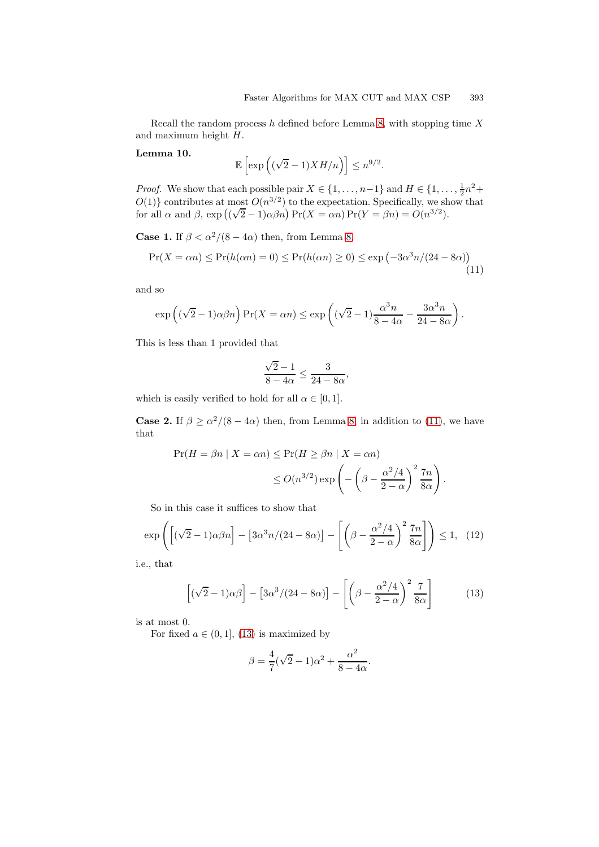<span id="page-11-2"></span>Recall the random process h defined before Lemma [8,](#page-9-0) with stopping time  $X$ and maximum height H.

**Lemma 10.**

$$
\mathbb{E}\left[\exp\left((\sqrt{2}-1)XH/n\right)\right] \leq n^{9/2}.
$$

*Proof.* We show that each possible pair  $X \in \{1, ..., n-1\}$  and  $H \in \{1, ..., \frac{1}{2}n^2 + \dots\}$  $O(1)$ } contributes at most  $O(n^{3/2})$  to the expectation. Specifically, we show that  $O(1)$  f contributes at most  $O(n^{\gamma-1})$  to the expectation. Specifically, we shall  $\alpha$  and  $\beta$ , exp  $((\sqrt{2}-1)\alpha\beta n) \Pr(X = \alpha n) \Pr(Y = \beta n) = O(n^{3/2})$ .

**Case 1.** If  $\beta < \alpha^2/(8 - 4\alpha)$  then, from Lemma [8,](#page-9-0)

$$
\Pr(X = \alpha n) \le \Pr(h(\alpha n) = 0) \le \Pr(h(\alpha n) \ge 0) \le \exp\left(-3\alpha^3 n/(24 - 8\alpha)\right)
$$
\n(11)

and so

$$
\exp\left((\sqrt{2}-1)\alpha\beta n\right)\Pr(X=\alpha n)\leq \exp\left((\sqrt{2}-1)\frac{\alpha^3 n}{8-4\alpha}-\frac{3\alpha^3 n}{24-8\alpha}\right).
$$

This is less than 1 provided that

<span id="page-11-0"></span>
$$
\frac{\sqrt{2}-1}{8-4\alpha} \le \frac{3}{24-8\alpha},
$$

which is easily verified to hold for all  $\alpha \in [0,1]$ .

**Case 2.** If  $\beta \ge \alpha^2/(8 - 4\alpha)$  then, from Lemma [8,](#page-9-0) in addition to [\(11\)](#page-11-0), we have that

$$
\Pr(H = \beta n \mid X = \alpha n) \le \Pr(H \ge \beta n \mid X = \alpha n)
$$

$$
\le O(n^{3/2}) \exp\left(-\left(\beta - \frac{\alpha^2/4}{2 - \alpha}\right)^2 \frac{7n}{8\alpha}\right).
$$

So in this case it suffices to show that

$$
\exp\left(\left[\left(\sqrt{2}-1\right)\alpha\beta n\right]-\left[3\alpha^3 n/(24-8\alpha)\right]-\left[\left(\beta-\frac{\alpha^2/4}{2-\alpha}\right)^2\frac{7n}{8\alpha}\right]\right)\leq 1,\tag{12}
$$

i.e., that

$$
\left[ (\sqrt{2} - 1)\alpha \beta \right] - \left[ 3\alpha^3/(24 - 8\alpha) \right] - \left[ \left( \beta - \frac{\alpha^2/4}{2 - \alpha} \right)^2 \frac{7}{8\alpha} \right] \tag{13}
$$

is at most 0.

For fixed  $a \in (0, 1]$ , [\(13\)](#page-11-1) is maximized by

<span id="page-11-1"></span>
$$
\beta = \frac{4}{7}(\sqrt{2} - 1)\alpha^2 + \frac{\alpha^2}{8 - 4\alpha}.
$$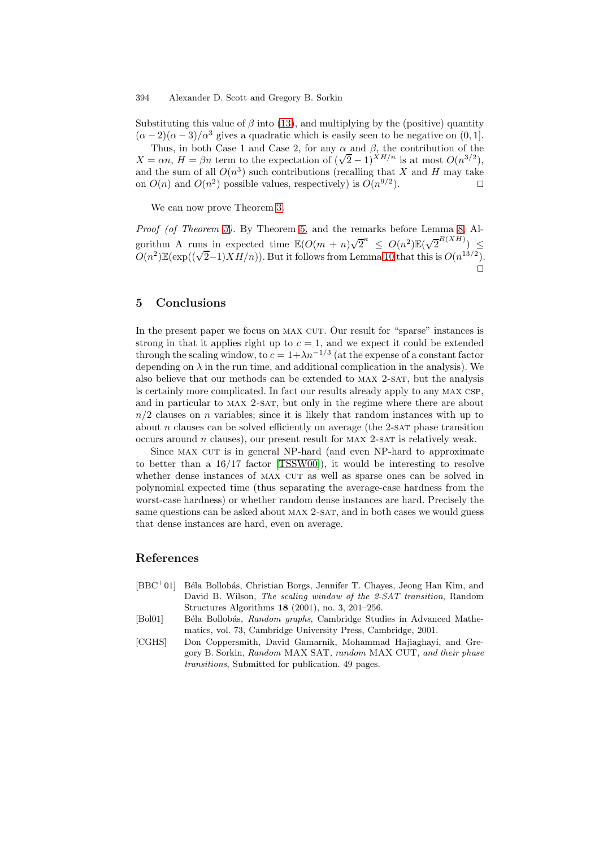<span id="page-12-0"></span>Substituting this value of  $\beta$  into [\(13\)](#page-11-1), and multiplying by the (positive) quantity  $(\alpha - 2)(\alpha - 3)/\alpha^3$  gives a quadratic which is easily seen to be negative on  $(0, 1]$ .

Thus, in both Case 1 and Case 2, for any  $\alpha$  and  $\beta$ , the contribution of the  $X = \alpha n$ ,  $H = \beta n$  term to the expectation of  $(\sqrt{2} - 1)^{X H/n}$  is at most  $O(n^{3/2})$ , and the sum of all  $O(n^3)$  such contributions (recalling that X and H may take on  $O(n)$  and  $O(n^2)$  possible values, respectively) is  $O(n^{9/2})$ .

We can now prove Theorem [3.](#page-3-0)

*Proof (of Theorem [3\)](#page-3-0).* By Theorem [5,](#page-6-0) and the remarks before Lemma [8,](#page-9-0) Algorithm A runs in expected time  $\mathbb{E}(O(m+n)\sqrt{2}^k \leq O(n^2)\mathbb{E}(\sqrt{2}^{B(XH)}) \leq$  $O(n^2) \mathbb{E}(\exp((\sqrt{2}-1)XH/n))$ . But it follows from Lemma [10](#page-11-2) that this is  $O(n^{13/2})$ .  $\Box$ 

# **5 Conclusions**

In the present paper we focus on MAX CUT. Our result for "sparse" instances is strong in that it applies right up to  $c = 1$ , and we expect it could be extended through the scaling window, to  $c = 1 + \lambda n^{-1/3}$  (at the expense of a constant factor depending on  $\lambda$  in the run time, and additional complication in the analysis). We also believe that our methods can be extended to MAX 2-SAT, but the analysis is certainly more complicated. In fact our results already apply to any max csp, and in particular to MAX 2-SAT, but only in the regime where there are about  $n/2$  clauses on n variables; since it is likely that random instances with up to about  $n$  clauses can be solved efficiently on average (the 2-sar phase transition occurs around  $n$  clauses), our present result for MAX 2-SAT is relatively weak.

Since MAX CUT is in general NP-hard (and even NP-hard to approximate to better than a 16/17 factor [\[TSSW00\]](#page-13-9)), it would be interesting to resolve whether dense instances of MAX CUT as well as sparse ones can be solved in polynomial expected time (thus separating the average-case hardness from the worst-case hardness) or whether random dense instances are hard. Precisely the same questions can be asked about MAX 2-SAT, and in both cases we would guess that dense instances are hard, even on average.

## **References**

- <span id="page-12-1"></span> $[BBC<sup>+</sup>01]$  Béla Bollobás, Christian Borgs, Jennifer T. Chayes, Jeong Han Kim, and David B. Wilson, *The scaling window of the 2-SAT transition*, Random Structures Algorithms **18** (2001), no. 3, 201–256.
- <span id="page-12-3"></span>[Bol01] Béla Bollobás, *Random graphs*, Cambridge Studies in Advanced Mathematics, vol. 73, Cambridge University Press, Cambridge, 2001.
- <span id="page-12-2"></span>[CGHS] Don Coppersmith, David Gamarnik, Mohammad Hajiaghayi, and Gregory B. Sorkin, *Random* MAX SAT*, random* MAX CUT*, and their phase transitions*, Submitted for publication. 49 pages.